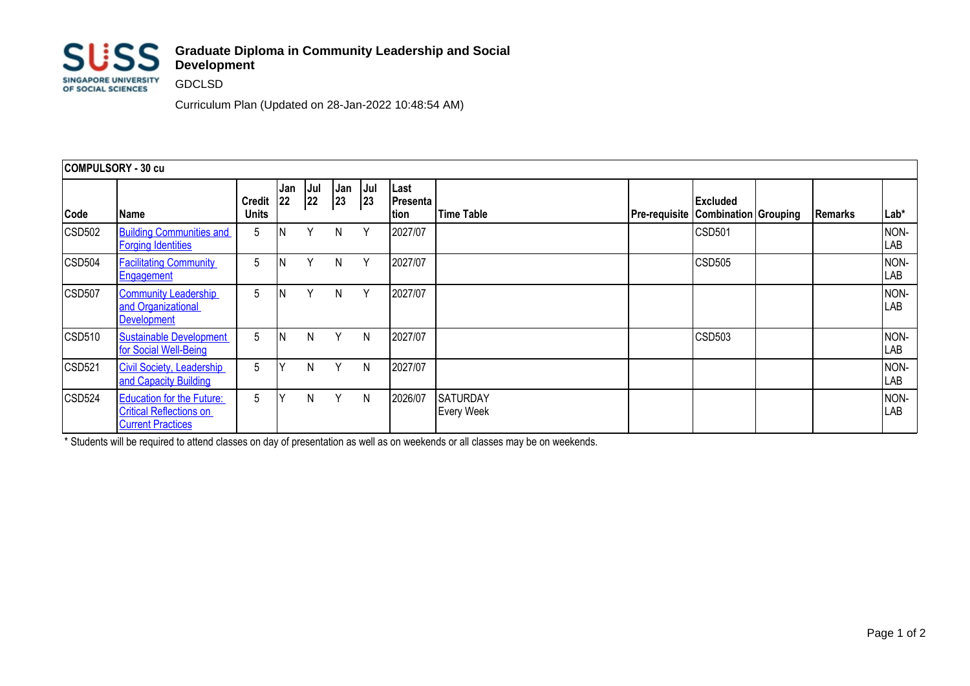

## **Graduate Diploma in Community Leadership and Social Development**

GDCLSD

Curriculum Plan (Updated on 28-Jan-2022 10:48:54 AM)

| COMPULSORY - 30 cu |                                                                                                |                               |           |            |            |              |                             |                                      |                                               |                 |  |                |                    |
|--------------------|------------------------------------------------------------------------------------------------|-------------------------------|-----------|------------|------------|--------------|-----------------------------|--------------------------------------|-----------------------------------------------|-----------------|--|----------------|--------------------|
| Code               | Name                                                                                           | <b>Credit</b><br><b>Units</b> | Jan<br>22 | Jul<br> 22 | Jan<br> 23 | Jul<br> 23   | Last<br> Presenta  <br>tion | <b>Time Table</b>                    | <b>Pre-requisite   Combination   Grouping</b> | <b>Excluded</b> |  | <b>Remarks</b> | $Lab*$             |
| CSD502             | <b>Building Communities and</b><br><b>Forging Identities</b>                                   | 5                             |           |            | N.         | Υ            | 2027/07                     |                                      |                                               | <b>CSD501</b>   |  |                | NON-<br>LAB        |
| CSD504             | <b>Facilitating Community</b><br>Engagement                                                    | 5                             |           | Y          | N          | $\vee$       | 2027/07                     |                                      |                                               | <b>CSD505</b>   |  |                | NON-<br>LAB        |
| CSD507             | <b>Community Leadership</b><br>and Organizational<br><b>Development</b>                        | 5                             |           | v          | N          | $\checkmark$ | 2027/07                     |                                      |                                               |                 |  |                | NON-<br>LAB        |
| CSD510             | <b>Sustainable Development</b><br>for Social Well-Being                                        | 5                             |           | N          | v          | N            | 2027/07                     |                                      |                                               | <b>CSD503</b>   |  |                | NON-<br>LAB        |
| CSD521             | Civil Society, Leadership<br>and Capacity Building                                             | 5                             |           | N.         | ٧          | N            | 2027/07                     |                                      |                                               |                 |  |                | NON-<br>LAB        |
| CSD524             | <b>Education for the Future:</b><br><b>Critical Reflections on</b><br><b>Current Practices</b> | 5                             |           | N          | Y          | N            | 2026/07                     | <b>SATURDAY</b><br><b>Every Week</b> |                                               |                 |  |                | NON-<br><b>LAB</b> |

\* Students will be required to attend classes on day of presentation as well as on weekends or all classes may be on weekends.